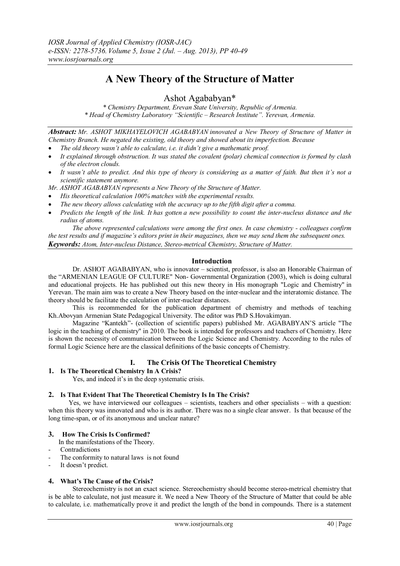# **A New Theory of the Structure of Matter**

Ashot Agababyan\*

*\* Chemistry Department, Erevan State University, Republic of Armenia. \* Head of Chemistry Laboratory "Scientific – Research Institute". Yerevan, Armenia.*

*Abstract: Mr. ASHOT MIKHAYELOVICH AGABABYAN innovated a New Theory of Structure of Matter in Chemistry Branch. He negated the existing, old theory and showed about its imperfection. Because*

- *The old theory wasn't able to calculate, i.e. it didn't give a mathematic proof.*
- *It explained through obstruction. It was stated the covalent (polar) chemical connection is formed by clash of the electron clouds.*
- *It wasn't able to predict. And this type of theory is considering as a matter of faith. But then it's not a scientific statement anymore.*

*Mr. ASHOT AGABABYAN represents a New Theory of the Structure of Matter.*

- *His theoretical calculation 100% matches with the experimental results.*
- *The new theory allows calculating with the accuracy up to the fifth digit after a comma.*
- *Predicts the length of the link. It has gotten a new possibility to count the inter-nucleus distance and the radius of atoms.*

*The above represented calculations were among the first ones. In case chemistry - colleagues confirm the test results and if magazine's editors print in their magazines, then we may send them the subsequent ones. Keywords: Atom, Inter-nucleus Distance, Stereo-metrical Chemistry, Structure of Matter.* 

## **Introduction**

 Dr. ASHOT AGABABYAN, who is innovator – scientist, professor, is also an Honorable Chairman of the "ARMENIAN LEAGUE OF CULTURE" Non- Governmental Organization (2003), which is doing cultural and educational projects. He has published out this new theory in His monograph "Logic and Chemistry" in Yerevan. The main aim was to create a New Theory based on the inter-nuclear and the interatomic distance. The theory should be facilitate the calculation of inter-nuclear distances.

 This is recommended for the publication department of chemistry and methods of teaching Kh.Abovyan Armenian State Pedagogical University. The editor was PhD S.Hovakimyan.

 Magazine "Kantekh"- (collection of scientific papers) published Mr. AGABABYAN"S article "The logic in the teaching of chemistry" in 2010. The book is intended for professors and teachers of Chemistry. Here is shown the necessity of communication between the Logic Science and Chemistry. According to the rules of formal Logic Science here are the classical definitions of the basic concepts of Chemistry.

# **I. The Crisis Of The Theoretical Chemistry**

# **1. Is The Theoretical Chemistry In A Crisis?**

Yes, and indeed it's in the deep systematic crisis.

## **2. Is That Evident That The Theoretical Chemistry Is In The Crisis?**

Yes, we have interviewed our colleagues – scientists, teachers and other specialists – with a question: when this theory was innovated and who is its author. There was no a single clear answer. Is that because of the long time-span, or of its anonymous and unclear nature?

#### **3. How The Crisis Is Confirmed?**

In the manifestations of the Theory.

- **Contradictions**
- The conformity to natural laws is not found
- It doesn't predict.

# **4. What's The Cause of the Crisis?**

Stereochemistry is not an exact science. Stereochemistry should become stereo-metrical chemistry that is be able to calculate, not just measure it. We need a New Theory of the Structure of Matter that could be able to calculate, i.e. mathematically prove it and predict the length of the bond in compounds. There is a statement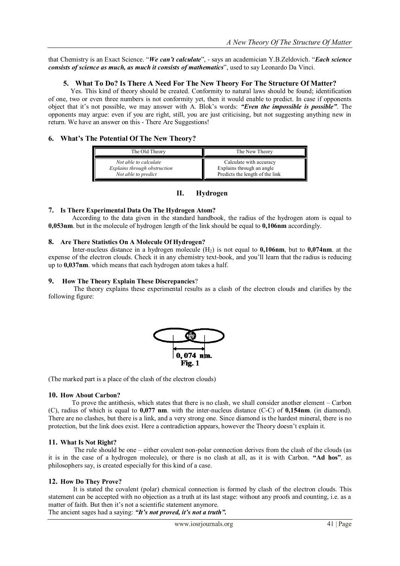that Chemistry is an Exact Science. "*We can't calculate*", - says an academician Y.B.Zeldovich. "*Each science consists of science as much, as much it consists of mathematics*", used to say Leonardo Da Vinci.

# **5. What To Do? Is There A Need For The New Theory For The Structure Of Matter?**

Yes. This kind of theory should be created. Conformity to natural laws should be found; identification of one, two or even three numbers is not conformity yet, then it would enable to predict. In case if opponents object that it"s not possible, we may answer with A. Blok"s words: *"Even the impossible is possible"*. The opponents may argue: even if you are right, still, you are just criticising, but not suggesting anything new in return. We have an answer on this - There Are Suggestions!

# **6. What's The Potential Of The New Theory?**

| The Old Theory               | The New Theory                  |
|------------------------------|---------------------------------|
| Not able to calculate        | Calculate with accuracy         |
| Explains through obstruction | Explains through an angle       |
| Not able to predict          | Predicts the length of the link |

# **II. Hydrogen**

# **7. Is There Experimental Data On The Hydrogen Atom?**

 According to the data given in the standard handbook, the radius of the hydrogen atom is equal to **0,053nm**. but in the molecule of hydrogen length of the link should be equal to **0,106nm** accordingly.

## **8. Are There Statistics On A Molecule Of Hydrogen?**

Inter-nucleus distance in a hydrogen molecule (H2) is not equal to **0,106nm**, but to **0,074nm**. at the expense of the electron clouds. Check it in any chemistry text-book, and you"ll learn that the radius is reducing up to **0,037nm**. which means that each hydrogen atom takes a half.

## **9. How The Theory Explain These Discrepancies**?

 The theory explains these experimental results as a clash of the electron clouds and clarifies by the following figure:



(The marked part is a place of the clash of the electron clouds)

# **10. How About Carbon?**

 To prove the antithesis, which states that there is no clash, we shall consider another element – Carbon (C), radius of which is equal to **0,077 nm**. with the inter-nucleus distance (C-C) of **0,154nm**. (in diamond). There are no clashes, but there is a link, and a very strong one. Since diamond is the hardest mineral, there is no protection, but the link does exist. Here a contradiction appears, however the Theory doesn"t explain it.

# **11. What Is Not Right?**

 The rule should be one – either covalent non-polar connection derives from the clash of the clouds (as it is in the case of a hydrogen molecule), or there is no clash at all, as it is with Carbon. **"Ad hos"***,* as philosophers say, is created especially for this kind of a case.

# **12. How Do They Prove?**

It is stated the covalent (polar) chemical connection is formed by clash of the electron clouds. This statement can be accepted with no objection as a truth at its last stage: without any proofs and counting, i.e. as a matter of faith. But then it's not a scientific statement anymore.

The ancient sages had a saying: *"It's not proved, it's not a truth".*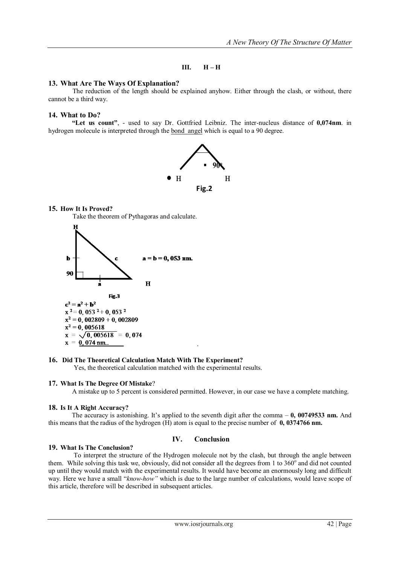## **III. H – H**

## **13. What Are The Ways Of Explanation?**

The reduction of the length should be explained anyhow. Either through the clash, or without, there cannot be a third way.

## **14. What to Do?**

 **"Let us count"**, - used to say Dr. Gottfried Leibniz. The inter-nucleus distance of **0,074nm**. in hydrogen molecule is interpreted through the bond angel which is equal to a 90 degree.



# **15. How It Is Proved?**

Take the theorem of Pythagoras and calculate.



# **16. Did The Theoretical Calculation Match With The Experiment?**

Yes, the theoretical calculation matched with the experimental results.

#### **17. What Is The Degree Of Mistake**?

A mistake up to 5 percent is considered permitted. However, in our case we have a complete matching.

#### **18. Is It A Right Accuracy?**

The accuracy is astonishing. It's applied to the seventh digit after the comma  $-0$ , 00749533 nm. And this means that the radius of the hydrogen (H) atom is equal to the precise number of **0, 0374766 nm.**

## **IV. Conclusion**

### **19. What Is The Conclusion?**

 To interpret the structure of the Hydrogen molecule not by the clash, but through the angle between them. While solving this task we, obviously, did not consider all the degrees from 1 to  $360^\circ$  and did not counted up until they would match with the experimental results. It would have become an enormously long and difficult way. Here we have a small "*know-how"* which is due to the large number of calculations, would leave scope of this article, therefore will be described in subsequent articles.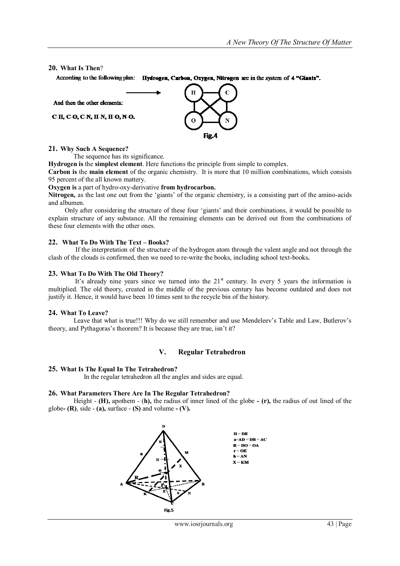#### **20. What Is Then**?

According to the following plan: Hydrogen, Carbon, Oxygen, Nitrogen are in the system of 4 "Giants".



#### **21. Why Such A Sequence?**

The sequence has its significance.

**Hydrogen is** the **simplest element**. Here functions the principle from simple to complex.

**Carbon is** the **main element** of the organic chemistry. It is more that 10 million combinations, which consists 95 percent of the all known mattery.

#### **Oxygen is** a part of hydro-oxy-derivative **from hydrocarbon.**

**Nitrogen,** as the last one out from the "giants" of the organic chemistry, is a consisting part of the amino-acids and albumen.

Only after considering the structure of these four "giants" and their combinations, it would be possible to explain structure of any substance. All the remaining elements can be derived out from the combinations of these four elements with the other ones.

#### **22. What To Do With The Text – Books?**

 If the interpretation of the structure of the hydrogen atom through the valent angle and not through the clash of the clouds is confirmed, then we need to re-write the books, including school text-books**.**

#### **23. What To Do With The Old Theory?**

It's already nine years since we turned into the  $21<sup>st</sup>$  century. In every 5 years the information is multiplied. The old theory, created in the middle of the previous century has become outdated and does not justify it. Hence, it would have been 10 times sent to the recycle bin of the history.

#### **24. What To Leave?**

Leave that what is true!!! Why do we still remember and use Mendeleev's Table and Law, Butlerov's theory, and Pythagoras's theorem? It is because they are true, isn't it?

# **V. Regular Tetrahedron**

#### **25. What Is The Equal In The Tetrahedron?**

In the regular tetrahedron all the angles and sides are equal.

#### **26. What Parameters There Are In The Regular Tetrahedron?**

 Height - **(Н),** apothem - (**h),** the radius of inner lined of the globe **- (r),** the radius of out lined of the globe- $(R)$ , side  $-(a)$ , surface  $-(S)$  and volume  $-(V)$ .

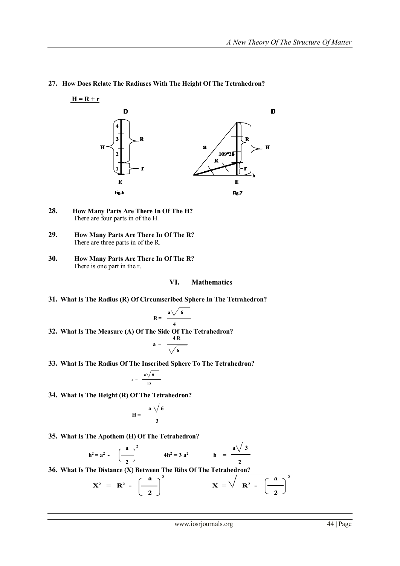

## **27. How Does Relate The Radiuses With The Height Of The Tetrahedron?**

- **28. How Many Parts Are There In Of The H?** There are four parts in of the H.
- **29. How Many Parts Are There In Of The R?** There are three parts in of the R.
- **30. How Many Parts Are There In Of The R?** There is one part in the r.

### **VI. Mathematics**

**31. What Is The Radius (R) Of Circumscribed Sphere In The Tetrahedron?**

$$
R = \frac{a \sqrt{6}}{4}
$$
  
32. What Is The Measure (A) Of The Side of The Tetrahedron?  

$$
a = \frac{4R}{\sqrt{6}}
$$

**33. What Is The Radius Of The Inscribed Sphere To The Tetrahedron?**

$$
r = \frac{a\sqrt{6}}{12}
$$

**34. What Is The Height (R) Of The Tetrahedron?**

$$
H = \frac{a \sqrt{6}}{3}
$$

**35. What Is The Apothem (H) Of The Tetrahedron?**

$$
h^2 = a^2 - \left(\frac{a}{2}\right)^2
$$
  $4h^2 = 3 a^2$   $h = \frac{a\sqrt{3}}{2}$ 

**36. What Is The Distance (X) Between The Ribs Of The Tetrahedron?**

$$
X^{2} = R^{2} - \left(\frac{a}{2}\right)^{2} \qquad X = \sqrt{R^{2} - \left(\frac{a}{2}\right)^{2}}
$$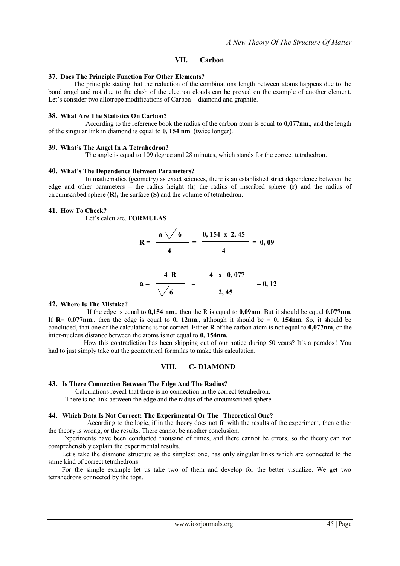# **VII. Carbon**

## **37. Does The Principle Function For Other Elements?**

 The principle stating that the reduction of the combinations length between atoms happens due to the bond angel and not due to the clash of the electron clouds can be proved on the example of another element. Let's consider two allotrope modifications of Carbon – diamond and graphite.

## **38. What Are The Statistics On Carbon?**

 According to the reference book the radius of the carbon atom is equal **to 0,077nm.,** and the length of the singular link in diamond is equal to **0, 154 nm**. (twice longer).

## **39. What's The Angel In A Tetrahedron?**

The angle is equal to 109 degree and 28 minutes, which stands for the correct tetrahedron.

#### **40. What's The Dependence Between Parameters?**

 In mathematics (geometry) as exact sciences, there is an established strict dependence between the edge and other parameters – the radius height (**h**) the radius of inscribed sphere **(r)** and the radius of circumscribed sphere **(R),** the surface (**S)** and the volume of tetrahedron.

# **41. How To Check?**

Let"s calculate. **FORMULAS**

$$
R = \frac{a \sqrt{6}}{4} = \frac{0,154 \times 2,45}{4} = 0,09
$$
  

$$
a = \frac{4 R}{\sqrt{6}} = \frac{4 \times 0,077}{2,45} = 0,12
$$

## **42. Where Is The Mistake?**

 If the edge is equal to **0,154 nm**., then the R is equal to **0,09nm**. But it should be equal **0,077nm**. If  $R = 0.077$ nm, then the edge is equal to **0, 12nm**, although it should be  $= 0$ , 154nm. So, it should be concluded, that one of the calculations is not correct. Either **R** of the carbon atom is not equal to **0,077nm**, or the inter-nucleus distance between the atoms is not equal to **0, 154nm.** 

How this contradiction has been skipping out of our notice during 50 years? It's a paradox! You had to just simply take out the geometrical formulas to make this calculation**.**

# **VIII. C- DIAMOND**

#### **43. Is There Connection Between The Edge And The Radius?**

Calculations reveal that there is no connection in the correct tetrahedron.

There is no link between the edge and the radius of the circumscribed sphere.

#### **44. Which Data Is Not Correct: The Experimental Or The Theoretical One?**

 According to the logic, if in the theory does not fit with the results of the experiment, then either the theory is wrong, or the results. There cannot be another conclusion.

 Experiments have been conducted thousand of times, and there cannot be errors, so the theory can nor comprehensibly explain the experimental results.

Let's take the diamond structure as the simplest one, has only singular links which are connected to the same kind of correct tetrahedrons.

 For the simple example let us take two of them and develop for the better visualize. We get two tetrahedrons connected by the tops.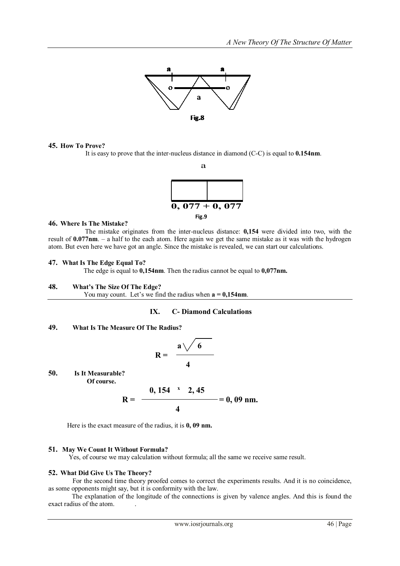

#### **45. How To Prove?**

It is easy to prove that the inter-nucleus distance in diamond (C-C) is equal to **0.154nm**.



#### **46. Where Is The Mistake?**

 The mistake originates from the inter-nucleus distance: **0,154** were divided into two, with the result of **0.077nm**. – a half to the each atom. Here again we get the same mistake as it was with the hydrogen atom. But even here we have got an angle. Since the mistake is revealed, we can start our calculations.

#### **47. What Is The Edge Equal To?**

The edge is equal to **0,154nm**. Then the radius cannot be equal to **0,077nm.**

#### **48. What's The Size Of The Edge?**

You may count. Let's we find the radius when  $a = 0,154$  nm.

## **IX. C- Diamond Calculations**

# **49. What Is The Measure Of The Radius?**

$$
R = \frac{a\sqrt{6}}{4}
$$

**50. Is It Measurable? Of course.** 

$$
R = \frac{0,154 \times 2,45}{4} = 0,09 \text{ nm}.
$$

Here is the exact measure of the radius, it is **0, 09 nm.**

#### **51. May We Count It Without Formula?**

Yes, of course we may calculation without formula; all the same we receive same result.

#### **52. What Did Give Us The Theory?**

 For the second time theory proofed comes to correct the experiments results. And it is no coincidence, as some opponents might say, but it is conformity with the law.

 The explanation of the longitude of the connections is given by valence angles. And this is found the exact radius of the atom. .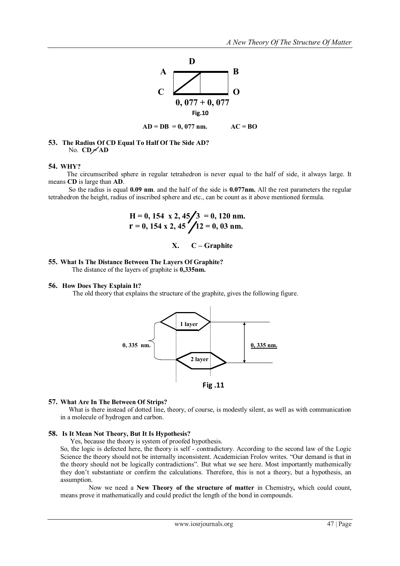

**53. The Radius Of CD Equal To Half Of The Side AD?** No. **СD = АD**

#### **54. WHY?**

 The circumscribed sphere in regular tetrahedron is never equal to the half of side, it always large. It means **CD** is large than **AD**.

 So the radius is equal **0.09 nm**. and the half of the side is **0.077nm.** All the rest parameters the regular tetrahedron the height, radius of inscribed sphere and etc., can be count as it above mentioned formula.

 **Н = 0, 154 х 2, 45 3 = 0, 120 nm. r = 0, 154 х 2, 45 12 = 0, 03 nm.**

#### **X. C – Graphite**

## **55. What Is The Distance Between The Layers Of Graphite?**

The distance of the layers of graphite is **0,335nm.**

#### **56. How Does They Explain It?**

The old theory that explains the structure of the graphite, gives the following figure.



#### **57. What Are In The Between Of Strips?**

 What is there instead of dotted line, theory, of course, is modestly silent, as well as with communication in a molecule of hydrogen and carbon.

### **58. Is It Mean Not Theory, But It Is Hypothesis?**

Yes, because the theory is system of proofed hypothesis.

 So, the logic is defected here, the theory is self - contradictory. According to the second law of the Logic Science the theory should not be internally inconsistent. Academician Frolov writes. "Our demand is that in the theory should not be logically contradictions". But what we see here. Most importantly mathemically they don"t substantiate or confirm the calculations. Therefore, this is not a theory, but a hypothesis, an assumption.

 Now we need a **New Theory of the structure of matter** in Chemistry**,** which could count, means prove it mathematically and could predict the length of the bond in compounds.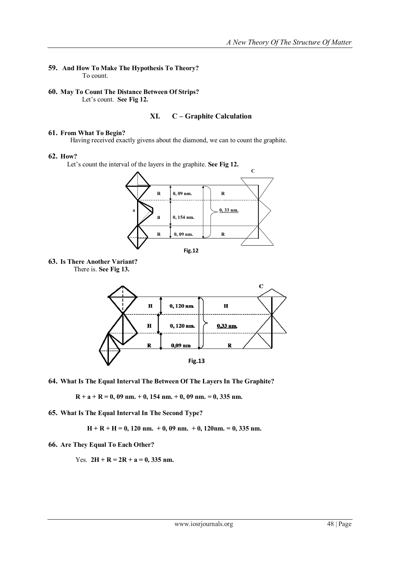## **59. And How To Make The Hypothesis To Theory?** To count.

**60. May To Count The Distance Between Of Strips?** Let's count. See Fig 12.

# **XI. С – Graphite Calculation**

## **61. From What To Begin?**

Having received exactly givens about the diamond, we can to count the graphite.

#### **62. How?**

Let's count the interval of the layers in the graphite. See Fig 12.







**64. What Is The Equal Interval The Between Of The Layers In The Graphite?**

 $R + a + R = 0$ , 09 nm.  $+ 0$ , 154 nm.  $+ 0$ , 09 nm.  $= 0$ , 335 nm.

**65. What Is The Equal Interval In The Second Type?**

 **Н + R + Н = 0, 120 nm. + 0, 09 nm. + 0, 120nm. = 0, 335 nm.**

**66. Are They Equal To Each Other?**

Yes.  $2H + R = 2R + a = 0$ , 335 nm.